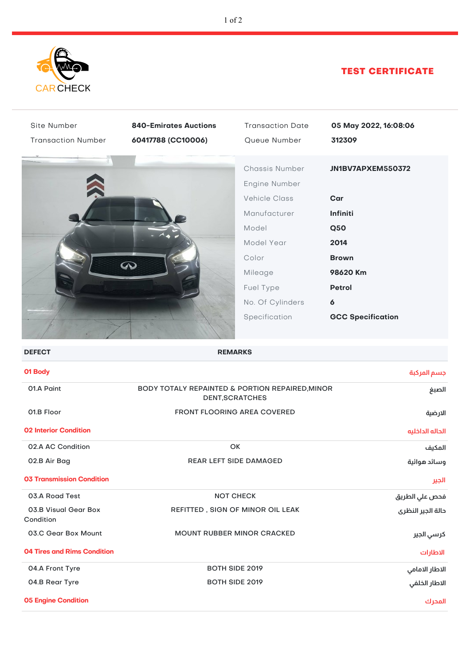

## TEST CERTIFICATE

| Site Number                        | <b>840-Emirates Auctions</b>                                              | <b>Transaction Date</b>                                                                                                                             | 05 May 2022, 16:08:06                                                                                        |
|------------------------------------|---------------------------------------------------------------------------|-----------------------------------------------------------------------------------------------------------------------------------------------------|--------------------------------------------------------------------------------------------------------------|
| <b>Transaction Number</b>          | 60417788 (CC10006)                                                        | Queue Number                                                                                                                                        | 312309                                                                                                       |
|                                    | $\infty$                                                                  | Chassis Number<br>Engine Number<br><b>Vehicle Class</b><br>Manufacturer<br>Model<br>Model Year<br>Color<br>Mileage<br>Fuel Type<br>No. Of Cylinders | JN1BV7APXEM550372<br>Car<br>Infiniti<br><b>Q50</b><br>2014<br><b>Brown</b><br>98620 Km<br><b>Petrol</b><br>6 |
|                                    |                                                                           | Specification                                                                                                                                       | <b>GCC Specification</b>                                                                                     |
| <b>DEFECT</b>                      | <b>REMARKS</b>                                                            |                                                                                                                                                     |                                                                                                              |
| 01 Body                            |                                                                           |                                                                                                                                                     | جسم المركبة                                                                                                  |
| 01.A Paint                         | BODY TOTALY REPAINTED & PORTION REPAIRED, MINOR<br><b>DENT, SCRATCHES</b> |                                                                                                                                                     | الصبغ                                                                                                        |
| 01.B Floor                         | FRONT FLOORING AREA COVERED                                               |                                                                                                                                                     | الارضية                                                                                                      |
| <b>02 Interior Condition</b>       |                                                                           |                                                                                                                                                     | الحاله الداخليه                                                                                              |
| 02.A AC Condition                  | OK                                                                        |                                                                                                                                                     | المكيف                                                                                                       |
| 02.B Air Bag                       | <b>REAR LEFT SIDE DAMAGED</b>                                             |                                                                                                                                                     | وسائد هوائية                                                                                                 |
| <b>03 Transmission Condition</b>   |                                                                           |                                                                                                                                                     | الجير                                                                                                        |
| 03.A Road Test                     | <b>NOT CHECK</b>                                                          |                                                                                                                                                     | فحص علي الطريق                                                                                               |
| 03.B Visual Gear Box<br>Condition  | REFITTED, SIGN OF MINOR OIL LEAK                                          |                                                                                                                                                     | دالة الجير النظرى                                                                                            |
| 03.C Gear Box Mount                | <b>MOUNT RUBBER MINOR CRACKED</b>                                         |                                                                                                                                                     | كرسي الجير                                                                                                   |
| <b>04 Tires and Rims Condition</b> |                                                                           |                                                                                                                                                     | الاطارات                                                                                                     |
| 04.A Front Tyre                    | BOTH SIDE 2019                                                            |                                                                                                                                                     | الاطار الامامي                                                                                               |
| 04.B Rear Tyre                     | BOTH SIDE 2019                                                            |                                                                                                                                                     | الاطار الخلفي                                                                                                |
| <b>05 Engine Condition</b>         |                                                                           |                                                                                                                                                     | المحرك                                                                                                       |